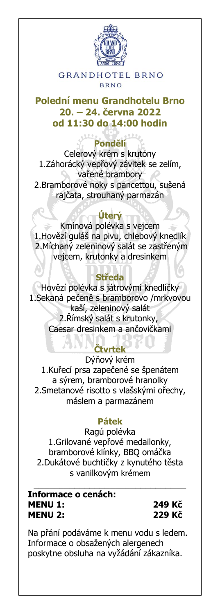

**GRANDHOTEL BRNO BRNO** 

## **Polední menu Grandhotelu Brno 20. – 24. června 2022 od 11:30 do 14:00 hodin**

## **Pondělí**

Celerový krém s krutóny 1.Záhorácký vepřový závitek se zelím, vařené brambory 2.Bramborové noky s pancettou, sušená rajčata, strouhaný parmazán

# **Úterý**

Kmínová polévka s vejcem 1.Hovězí guláš na pivu, chlebový knedlík 2.Míchaný zeleninový salát se zastřeným vejcem, krutonky a dresinkem

## **Středa**

Hovězí polévka s játrovými knedlíčky 1.Sekaná pečeně s bramborovo /mrkvovou kaší, zeleninový salát 2.Římský salát s krutonky, Caesar dresinkem a ančovičkami

# **Čtvrtek**

Dýňový krém 1.Kuřecí prsa zapečené se špenátem a sýrem, bramborové hranolky 2.Smetanové risotto s vlašskými ořechy, máslem a parmazánem

## **Pátek**

Ragú polévka 1.Grilované vepřové medailonky, bramborové klínky, BBQ omáčka 2.Dukátové buchtičky z kynutého těsta s vanilkovým krémem

\_\_\_\_\_\_\_\_\_\_\_\_\_\_\_\_\_\_\_\_\_\_\_\_\_\_\_\_\_\_

**Informace o cenách: MENU 1: 249 Kč MENU 2: 229 Kč**

Na přání podáváme k menu vodu s ledem. Informace o obsažených alergenech poskytne obsluha na vyžádání zákazníka.